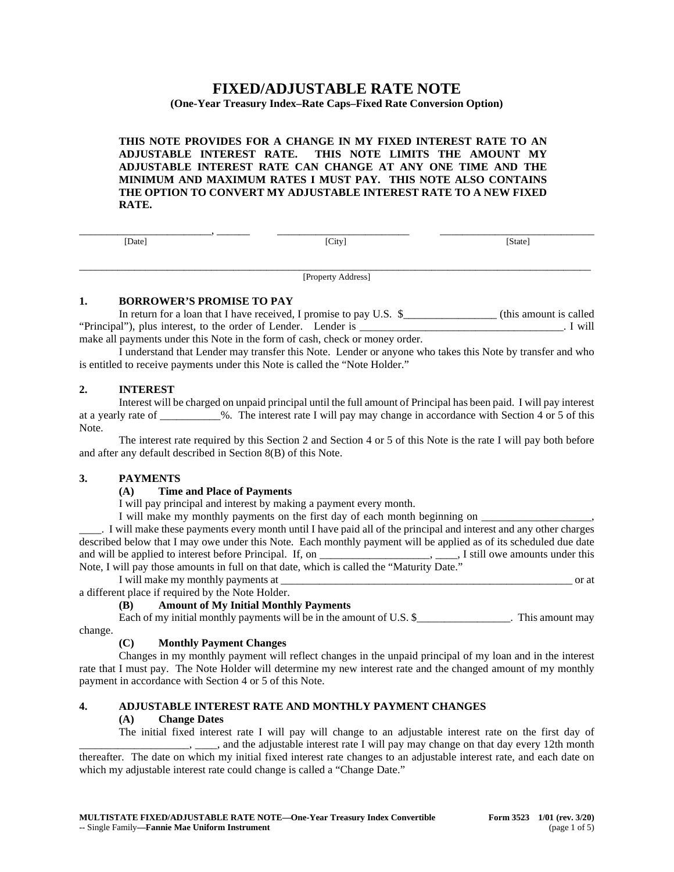# **FIXED/ADJUSTABLE RATE NOTE**

### **(One-Year Treasury Index–Rate Caps–Fixed Rate Conversion Option)**

**THIS NOTE PROVIDES FOR A CHANGE IN MY FIXED INTEREST RATE TO AN ADJUSTABLE INTEREST RATE. THIS NOTE LIMITS THE AMOUNT MY ADJUSTABLE INTEREST RATE CAN CHANGE AT ANY ONE TIME AND THE MINIMUM AND MAXIMUM RATES I MUST PAY. THIS NOTE ALSO CONTAINS THE OPTION TO CONVERT MY ADJUSTABLE INTEREST RATE TO A NEW FIXED RATE.**

| _____  | __________ | _______<br>_________ |
|--------|------------|----------------------|
| [Date] | [City]     | [State]              |
|        |            |                      |
|        |            |                      |
|        |            |                      |

[Property Address]

#### **1. BORROWER'S PROMISE TO PAY**

In return for a loan that I have received, I promise to pay U.S. \$\_\_\_\_\_\_\_\_\_\_\_\_\_\_\_\_\_\_\_\_ (this amount is called "Principal"), plus interest, to the order of Lender. Lender is \_\_\_\_\_\_\_\_\_\_\_\_\_\_\_\_\_\_\_\_\_\_\_\_\_\_\_\_\_\_\_\_\_\_\_\_\_. I will make all payments under this Note in the form of cash, check or money order.

I understand that Lender may transfer this Note. Lender or anyone who takes this Note by transfer and who is entitled to receive payments under this Note is called the "Note Holder."

# **2. INTEREST**

Interest will be charged on unpaid principal until the full amount of Principal has been paid. I will pay interest at a yearly rate of  $\%$ . The interest rate I will pay may change in accordance with Section 4 or 5 of this Note.

The interest rate required by this Section 2 and Section 4 or 5 of this Note is the rate I will pay both before and after any default described in Section 8(B) of this Note.

# **3. PAYMENTS**

# **(A) Time and Place of Payments**

I will pay principal and interest by making a payment every month.

I will make my monthly payments on the first day of each month beginning on

\_\_\_\_. I will make these payments every month until I have paid all of the principal and interest and any other charges described below that I may owe under this Note. Each monthly payment will be applied as of its scheduled due date and will be applied to interest before Principal. If, on \_\_\_\_\_\_\_\_\_\_\_\_\_\_\_\_\_\_\_\_\_, \_\_\_\_, I still owe amounts under this Note, I will pay those amounts in full on that date, which is called the "Maturity Date."

I will make my monthly payments at \_\_\_\_\_\_\_\_\_\_\_\_\_\_\_\_\_\_\_\_\_\_\_\_\_\_\_\_\_\_\_\_\_\_\_\_\_\_\_\_\_\_\_\_\_\_\_\_\_\_\_\_\_ or at

a different place if required by the Note Holder.

# **(B) Amount of My Initial Monthly Payments**

Each of my initial monthly payments will be in the amount of U.S. \$\_\_\_\_\_\_\_\_\_\_\_\_\_\_\_. This amount may change.

# **(C) Monthly Payment Changes**

Changes in my monthly payment will reflect changes in the unpaid principal of my loan and in the interest rate that I must pay. The Note Holder will determine my new interest rate and the changed amount of my monthly payment in accordance with Section 4 or 5 of this Note.

# **4. ADJUSTABLE INTEREST RATE AND MONTHLY PAYMENT CHANGES**

#### **(A) Change Dates**

The initial fixed interest rate I will pay will change to an adjustable interest rate on the first day of \_\_\_\_\_\_\_\_\_\_\_\_\_\_\_\_\_\_\_\_, \_\_\_\_, and the adjustable interest rate I will pay may change on that day every 12th month thereafter. The date on which my initial fixed interest rate changes to an adjustable interest rate, and each date on which my adjustable interest rate could change is called a "Change Date."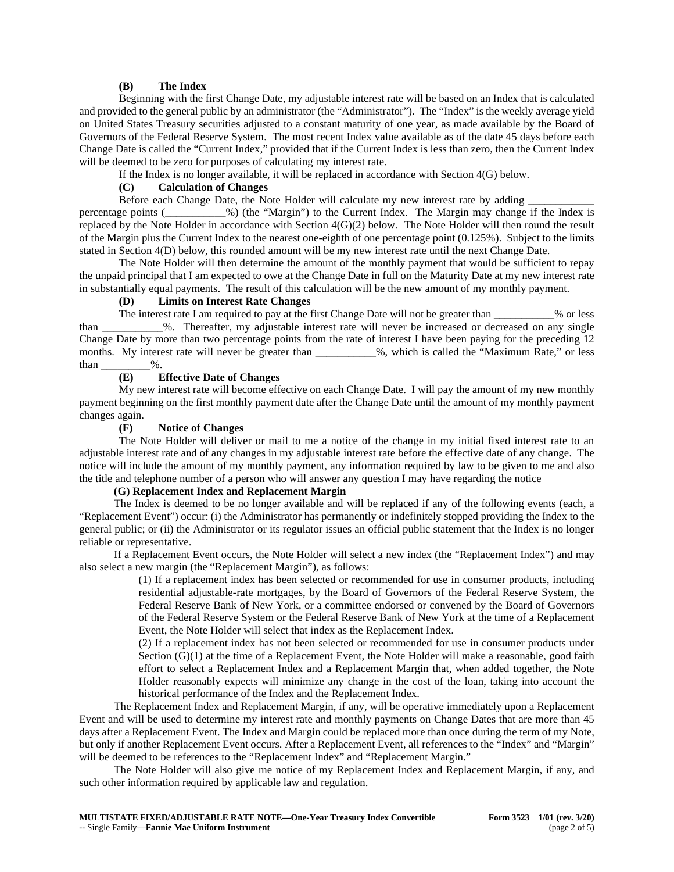#### **(B) The Index**

Beginning with the first Change Date, my adjustable interest rate will be based on an Index that is calculated and provided to the general public by an administrator (the "Administrator"). The "Index" is the weekly average yield on United States Treasury securities adjusted to a constant maturity of one year, as made available by the Board of Governors of the Federal Reserve System. The most recent Index value available as of the date 45 days before each Change Date is called the "Current Index," provided that if the Current Index is less than zero, then the Current Index will be deemed to be zero for purposes of calculating my interest rate.

If the Index is no longer available, it will be replaced in accordance with Section 4(G) below.

#### **(C) Calculation of Changes**

Before each Change Date, the Note Holder will calculate my new interest rate by adding percentage points (\_\_\_\_\_\_\_\_\_\_\_%) (the "Margin") to the Current Index. The Margin may change if the Index is replaced by the Note Holder in accordance with Section 4(G)(2) below. The Note Holder will then round the result of the Margin plus the Current Index to the nearest one-eighth of one percentage point  $(0.125\%)$ . Subject to the limits stated in Section 4(D) below, this rounded amount will be my new interest rate until the next Change Date.

The Note Holder will then determine the amount of the monthly payment that would be sufficient to repay the unpaid principal that I am expected to owe at the Change Date in full on the Maturity Date at my new interest rate in substantially equal payments. The result of this calculation will be the new amount of my monthly payment.

#### **(D) Limits on Interest Rate Changes**

The interest rate I am required to pay at the first Change Date will not be greater than \_\_\_\_\_\_\_\_\_\_\_% or less than \_\_\_\_\_\_\_\_\_\_\_%. Thereafter, my adjustable interest rate will never be increased or decreased on any single Change Date by more than two percentage points from the rate of interest I have been paying for the preceding 12 months. My interest rate will never be greater than \_\_\_\_\_\_\_\_\_\_\_%, which is called the "Maximum Rate," or less than  $\_\_\_\_\_\$ %.

#### **(E) Effective Date of Changes**

My new interest rate will become effective on each Change Date. I will pay the amount of my new monthly payment beginning on the first monthly payment date after the Change Date until the amount of my monthly payment changes again.

#### **(F) Notice of Changes**

The Note Holder will deliver or mail to me a notice of the change in my initial fixed interest rate to an adjustable interest rate and of any changes in my adjustable interest rate before the effective date of any change. The notice will include the amount of my monthly payment, any information required by law to be given to me and also the title and telephone number of a person who will answer any question I may have regarding the notice

## **(G) Replacement Index and Replacement Margin**

The Index is deemed to be no longer available and will be replaced if any of the following events (each, a "Replacement Event") occur: (i) the Administrator has permanently or indefinitely stopped providing the Index to the general public; or (ii) the Administrator or its regulator issues an official public statement that the Index is no longer reliable or representative.

If a Replacement Event occurs, the Note Holder will select a new index (the "Replacement Index") and may also select a new margin (the "Replacement Margin"), as follows:

> (1) If a replacement index has been selected or recommended for use in consumer products, including residential adjustable-rate mortgages, by the Board of Governors of the Federal Reserve System, the Federal Reserve Bank of New York, or a committee endorsed or convened by the Board of Governors of the Federal Reserve System or the Federal Reserve Bank of New York at the time of a Replacement Event, the Note Holder will select that index as the Replacement Index.

> (2) If a replacement index has not been selected or recommended for use in consumer products under Section  $(G)(1)$  at the time of a Replacement Event, the Note Holder will make a reasonable, good faith effort to select a Replacement Index and a Replacement Margin that, when added together, the Note Holder reasonably expects will minimize any change in the cost of the loan, taking into account the historical performance of the Index and the Replacement Index.

The Replacement Index and Replacement Margin, if any, will be operative immediately upon a Replacement Event and will be used to determine my interest rate and monthly payments on Change Dates that are more than 45 days after a Replacement Event. The Index and Margin could be replaced more than once during the term of my Note, but only if another Replacement Event occurs. After a Replacement Event, all references to the "Index" and "Margin" will be deemed to be references to the "Replacement Index" and "Replacement Margin."

The Note Holder will also give me notice of my Replacement Index and Replacement Margin, if any, and such other information required by applicable law and regulation.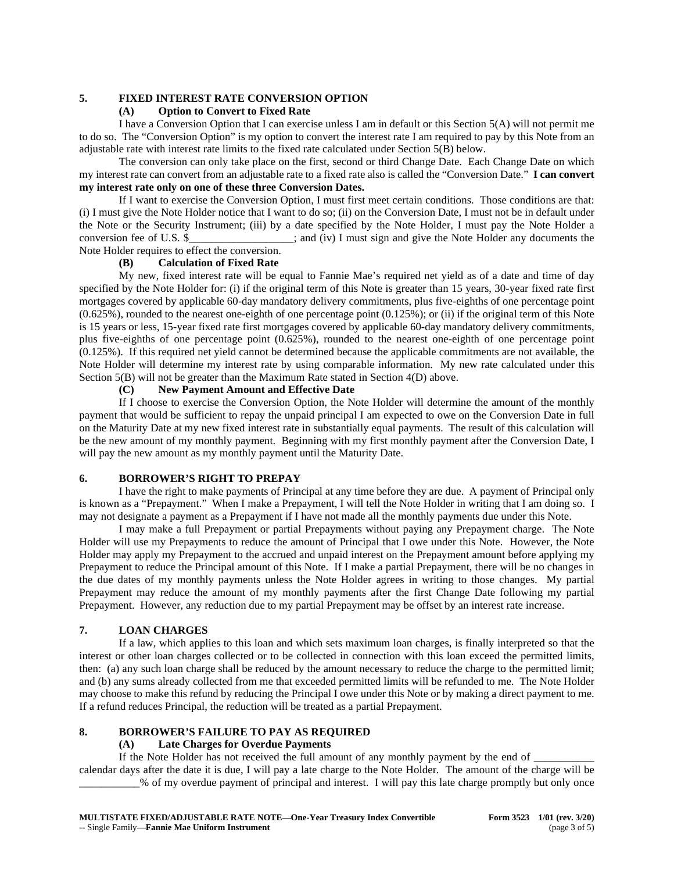## **5. FIXED INTEREST RATE CONVERSION OPTION**

# **(A) Option to Convert to Fixed Rate**

I have a Conversion Option that I can exercise unless I am in default or this Section 5(A) will not permit me to do so. The "Conversion Option" is my option to convert the interest rate I am required to pay by this Note from an adjustable rate with interest rate limits to the fixed rate calculated under Section 5(B) below.

The conversion can only take place on the first, second or third Change Date. Each Change Date on which my interest rate can convert from an adjustable rate to a fixed rate also is called the "Conversion Date." **I can convert my interest rate only on one of these three Conversion Dates.**

If I want to exercise the Conversion Option, I must first meet certain conditions. Those conditions are that: (i) I must give the Note Holder notice that I want to do so; (ii) on the Conversion Date, I must not be in default under the Note or the Security Instrument; (iii) by a date specified by the Note Holder, I must pay the Note Holder a conversion fee of U.S. \$  $\therefore$  and (iv) I must sign and give the Note Holder any documents the Note Holder requires to effect the conversion.

## **(B) Calculation of Fixed Rate**

My new, fixed interest rate will be equal to Fannie Mae's required net yield as of a date and time of day specified by the Note Holder for: (i) if the original term of this Note is greater than 15 years, 30-year fixed rate first mortgages covered by applicable 60-day mandatory delivery commitments, plus five-eighths of one percentage point (0.625%), rounded to the nearest one-eighth of one percentage point (0.125%); or (ii) if the original term of this Note is 15 years or less, 15-year fixed rate first mortgages covered by applicable 60-day mandatory delivery commitments, plus five-eighths of one percentage point (0.625%), rounded to the nearest one-eighth of one percentage point (0.125%). If this required net yield cannot be determined because the applicable commitments are not available, the Note Holder will determine my interest rate by using comparable information. My new rate calculated under this Section 5(B) will not be greater than the Maximum Rate stated in Section 4(D) above.

#### **(C) New Payment Amount and Effective Date**

If I choose to exercise the Conversion Option, the Note Holder will determine the amount of the monthly payment that would be sufficient to repay the unpaid principal I am expected to owe on the Conversion Date in full on the Maturity Date at my new fixed interest rate in substantially equal payments. The result of this calculation will be the new amount of my monthly payment. Beginning with my first monthly payment after the Conversion Date, I will pay the new amount as my monthly payment until the Maturity Date.

# **6. BORROWER'S RIGHT TO PREPAY**

I have the right to make payments of Principal at any time before they are due. A payment of Principal only is known as a "Prepayment." When I make a Prepayment, I will tell the Note Holder in writing that I am doing so. I may not designate a payment as a Prepayment if I have not made all the monthly payments due under this Note.

I may make a full Prepayment or partial Prepayments without paying any Prepayment charge. The Note Holder will use my Prepayments to reduce the amount of Principal that I owe under this Note. However, the Note Holder may apply my Prepayment to the accrued and unpaid interest on the Prepayment amount before applying my Prepayment to reduce the Principal amount of this Note. If I make a partial Prepayment, there will be no changes in the due dates of my monthly payments unless the Note Holder agrees in writing to those changes. My partial Prepayment may reduce the amount of my monthly payments after the first Change Date following my partial Prepayment. However, any reduction due to my partial Prepayment may be offset by an interest rate increase.

# **7. LOAN CHARGES**

If a law, which applies to this loan and which sets maximum loan charges, is finally interpreted so that the interest or other loan charges collected or to be collected in connection with this loan exceed the permitted limits, then: (a) any such loan charge shall be reduced by the amount necessary to reduce the charge to the permitted limit; and (b) any sums already collected from me that exceeded permitted limits will be refunded to me. The Note Holder may choose to make this refund by reducing the Principal I owe under this Note or by making a direct payment to me. If a refund reduces Principal, the reduction will be treated as a partial Prepayment.

# **8. BORROWER'S FAILURE TO PAY AS REQUIRED**

### **(A) Late Charges for Overdue Payments**

If the Note Holder has not received the full amount of any monthly payment by the end of calendar days after the date it is due, I will pay a late charge to the Note Holder. The amount of the charge will be \_\_\_\_\_\_\_\_\_\_\_% of my overdue payment of principal and interest. I will pay this late charge promptly but only once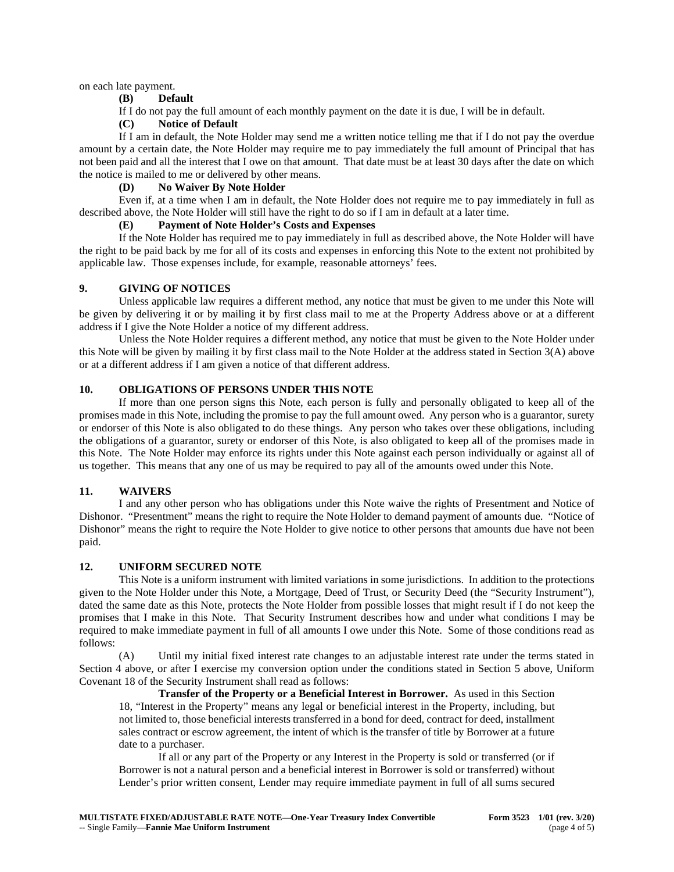on each late payment.

## **(B) Default**

If I do not pay the full amount of each monthly payment on the date it is due, I will be in default.

# **(C) Notice of Default**

If I am in default, the Note Holder may send me a written notice telling me that if I do not pay the overdue amount by a certain date, the Note Holder may require me to pay immediately the full amount of Principal that has not been paid and all the interest that I owe on that amount. That date must be at least 30 days after the date on which the notice is mailed to me or delivered by other means.

## **(D) No Waiver By Note Holder**

Even if, at a time when I am in default, the Note Holder does not require me to pay immediately in full as described above, the Note Holder will still have the right to do so if I am in default at a later time.

#### **(E) Payment of Note Holder's Costs and Expenses**

If the Note Holder has required me to pay immediately in full as described above, the Note Holder will have the right to be paid back by me for all of its costs and expenses in enforcing this Note to the extent not prohibited by applicable law. Those expenses include, for example, reasonable attorneys' fees.

#### **9. GIVING OF NOTICES**

Unless applicable law requires a different method, any notice that must be given to me under this Note will be given by delivering it or by mailing it by first class mail to me at the Property Address above or at a different address if I give the Note Holder a notice of my different address.

Unless the Note Holder requires a different method, any notice that must be given to the Note Holder under this Note will be given by mailing it by first class mail to the Note Holder at the address stated in Section 3(A) above or at a different address if I am given a notice of that different address.

# **10. OBLIGATIONS OF PERSONS UNDER THIS NOTE**

If more than one person signs this Note, each person is fully and personally obligated to keep all of the promises made in this Note, including the promise to pay the full amount owed. Any person who is a guarantor, surety or endorser of this Note is also obligated to do these things. Any person who takes over these obligations, including the obligations of a guarantor, surety or endorser of this Note, is also obligated to keep all of the promises made in this Note. The Note Holder may enforce its rights under this Note against each person individually or against all of us together. This means that any one of us may be required to pay all of the amounts owed under this Note.

# **11. WAIVERS**

I and any other person who has obligations under this Note waive the rights of Presentment and Notice of Dishonor. "Presentment" means the right to require the Note Holder to demand payment of amounts due. "Notice of Dishonor" means the right to require the Note Holder to give notice to other persons that amounts due have not been paid.

# **12. UNIFORM SECURED NOTE**

This Note is a uniform instrument with limited variations in some jurisdictions. In addition to the protections given to the Note Holder under this Note, a Mortgage, Deed of Trust, or Security Deed (the "Security Instrument"), dated the same date as this Note, protects the Note Holder from possible losses that might result if I do not keep the promises that I make in this Note. That Security Instrument describes how and under what conditions I may be required to make immediate payment in full of all amounts I owe under this Note. Some of those conditions read as follows:

(A) Until my initial fixed interest rate changes to an adjustable interest rate under the terms stated in Section 4 above, or after I exercise my conversion option under the conditions stated in Section 5 above, Uniform Covenant 18 of the Security Instrument shall read as follows:

**Transfer of the Property or a Beneficial Interest in Borrower.** As used in this Section 18, "Interest in the Property" means any legal or beneficial interest in the Property, including, but not limited to, those beneficial interests transferred in a bond for deed, contract for deed, installment sales contract or escrow agreement, the intent of which is the transfer of title by Borrower at a future date to a purchaser.

If all or any part of the Property or any Interest in the Property is sold or transferred (or if Borrower is not a natural person and a beneficial interest in Borrower is sold or transferred) without Lender's prior written consent, Lender may require immediate payment in full of all sums secured